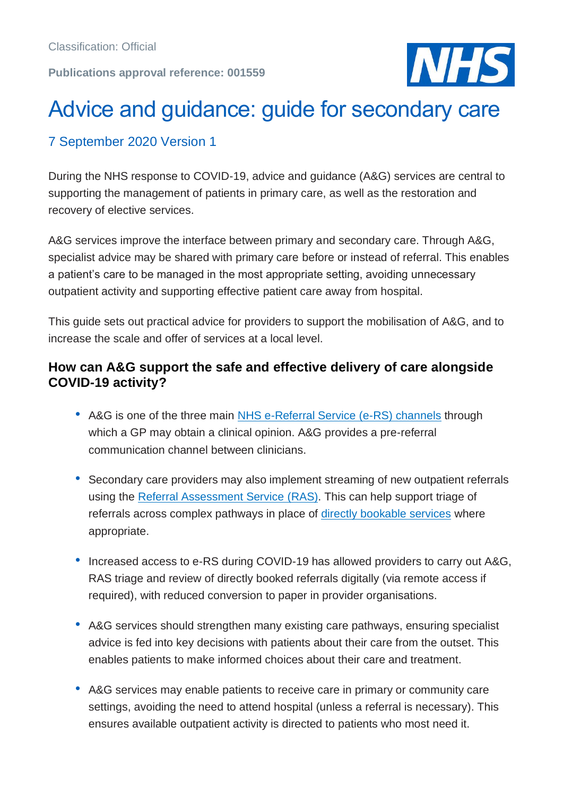#### **Publications approval reference: 001559**



# Advice and guidance: guide for secondary care

# 7 September 2020 Version 1

During the NHS response to COVID-19, advice and guidance (A&G) services are central to supporting the management of patients in primary care, as well as the restoration and recovery of elective services.

A&G services improve the interface between primary and secondary care. Through A&G, specialist advice may be shared with primary care before or instead of referral. This enables a patient's care to be managed in the most appropriate setting, avoiding unnecessary outpatient activity and supporting effective patient care away from hospital.

This guide sets out practical advice for providers to support the mobilisation of A&G, and to increase the scale and offer of services at a local level.

#### **How can A&G support the safe and effective delivery of care alongside COVID-19 activity?**

- A&G is one of the three main [NHS e-Referral Service \(e-RS\) channels](https://digital.nhs.uk/services/e-referral-service/document-library/supporting-clinical-referral-pathways) through which a GP may obtain a clinical opinion. A&G provides a pre-referral communication channel between clinicians.
- Secondary care providers may also implement streaming of new outpatient referrals using the [Referral Assessment Service \(RAS\).](https://digital.nhs.uk/services/e-referral-service/document-library/referral-assessment-services) This can help support triage of referrals across complex pathways in place of [directly bookable services](https://digital.nhs.uk/services/e-referral-service/document-library/supporting-clinical-referral-pathways) where appropriate.
- Increased access to e-RS during COVID-19 has allowed providers to carry out A&G, RAS triage and review of directly booked referrals digitally (via remote access if required), with reduced conversion to paper in provider organisations.
- A&G services should strengthen many existing care pathways, ensuring specialist advice is fed into key decisions with patients about their care from the outset. This enables patients to make informed choices about their care and treatment.
- A&G services may enable patients to receive care in primary or community care settings, avoiding the need to attend hospital (unless a referral is necessary). This ensures available outpatient activity is directed to patients who most need it.